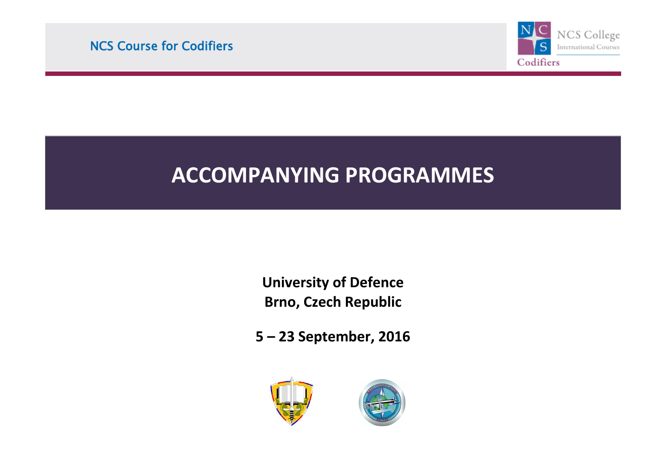

# l **ACCOMPANYING PROGRAMMES**

l

ī

**University of Defence Brno, Czech Republic**

**5 – 23 September, 2016**



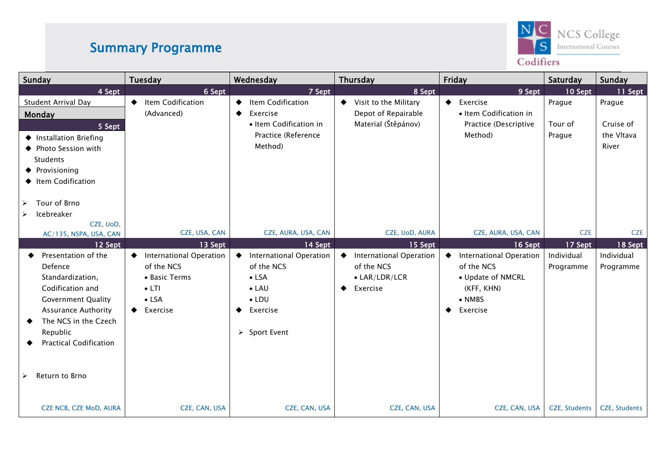### Summary Programme



#### Codifiers

| Sunday                                                                                                                                                                                                            | Tuesday                                                                                                                          | Wednesday                                                                                                                                                           | <b>Thursday</b>                                                                                        | Friday                                                                                                                        | Saturday                           | Sunday                                     |
|-------------------------------------------------------------------------------------------------------------------------------------------------------------------------------------------------------------------|----------------------------------------------------------------------------------------------------------------------------------|---------------------------------------------------------------------------------------------------------------------------------------------------------------------|--------------------------------------------------------------------------------------------------------|-------------------------------------------------------------------------------------------------------------------------------|------------------------------------|--------------------------------------------|
| 4 Sept                                                                                                                                                                                                            | 6 Sept                                                                                                                           | 7 Sept                                                                                                                                                              | 8 Sept                                                                                                 | 9 Sept                                                                                                                        | 10 Sept                            | 11 Sept                                    |
| Student Arrival Day<br>Monday<br>5 Sept<br>♦ Installation Briefing<br>◆ Photo Session with<br>Students<br>♦ Provisioning<br>♦ Item Codification<br>Tour of Brno<br>➤                                              | Item Codification<br>$\bullet$<br>(Advanced)                                                                                     | Item Codification<br>◆<br>Exercise<br>◆<br>• Item Codification in<br>Practice (Reference<br>Method)                                                                 | ♦ Visit to the Military<br>Depot of Repairable<br>Material (Štěpánov)                                  | $\blacklozenge$ Exercise<br>· Item Codification in<br>Practice (Descriptive<br>Method)                                        | Prague<br>Tour of<br>Prague        | Prague<br>Cruise of<br>the Vltava<br>River |
| Icebreaker<br>➤                                                                                                                                                                                                   |                                                                                                                                  |                                                                                                                                                                     |                                                                                                        |                                                                                                                               |                                    |                                            |
| CZE, UoD,<br>AC/135, NSPA, USA, CAN                                                                                                                                                                               | CZE, USA, CAN                                                                                                                    | CZE, AURA, USA, CAN                                                                                                                                                 | CZE, UoD, AURA                                                                                         | CZE, AURA, USA, CAN                                                                                                           | <b>CZE</b>                         | <b>CZE</b>                                 |
| 12 Sept<br>Presentation of the<br>Defence<br>Standardization,<br>Codification and<br><b>Government Quality</b><br><b>Assurance Authority</b><br>The NCS in the Czech<br>Republic<br><b>Practical Codification</b> | 13 Sept<br><b>International Operation</b><br>◆<br>of the NCS<br>• Basic Terms<br>$\bullet$ LTI<br>$\bullet$ LSA<br>Exercise<br>٠ | 14 Sept<br><b>International Operation</b><br>$\bullet$<br>of the NCS<br>$\bullet$ LSA<br>$\bullet$ LAU<br>$\bullet$ LDU<br>Exercise<br>$\triangleright$ Sport Event | 15 Sept<br><b>International Operation</b><br>$\bullet$<br>of the NCS<br>• LAR/LDR/LCR<br>Exercise<br>◆ | 16 Sept<br><b>International Operation</b><br>of the NCS<br>• Update of NMCRL<br>(KFF, KHN)<br>$\bullet$ NMBS<br>Exercise<br>٠ | 17 Sept<br>Individual<br>Programme | 18 Sept<br>Individual<br>Programme         |
| Return to Brno<br>➤                                                                                                                                                                                               |                                                                                                                                  |                                                                                                                                                                     |                                                                                                        |                                                                                                                               |                                    |                                            |
| <b>CZE NCB, CZE MoD, AURA</b>                                                                                                                                                                                     | CZE, CAN, USA                                                                                                                    | CZE, CAN, USA                                                                                                                                                       | CZE, CAN, USA                                                                                          | CZE, CAN, USA                                                                                                                 | <b>CZE, Students</b>               | <b>CZE, Students</b>                       |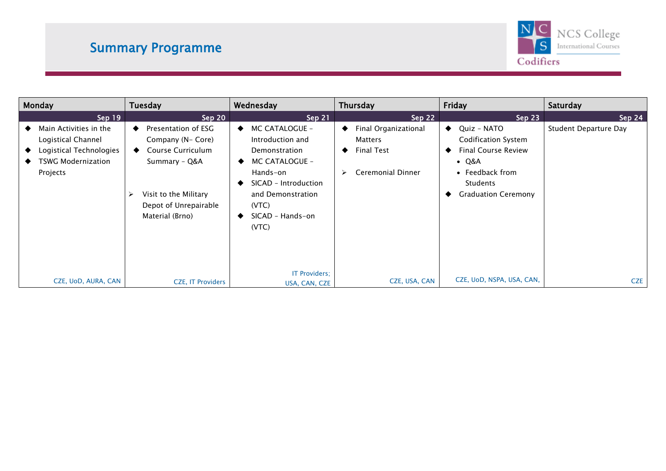### Summary Programme



| Monday                                                                                                    | <b>Tuesday</b>                                                                                                                                           | Wednesday                                                                                                                                                                                          | Thursday                                                                  | Friday                                                                                                                                                             | Saturday              |
|-----------------------------------------------------------------------------------------------------------|----------------------------------------------------------------------------------------------------------------------------------------------------------|----------------------------------------------------------------------------------------------------------------------------------------------------------------------------------------------------|---------------------------------------------------------------------------|--------------------------------------------------------------------------------------------------------------------------------------------------------------------|-----------------------|
| Sep 19                                                                                                    | Sep 20                                                                                                                                                   | Sep 21                                                                                                                                                                                             | Sep 22                                                                    | Sep 23                                                                                                                                                             | Sep 24                |
| Main Activities in the<br>Logistical Channel<br>Logistical Technologies<br>TSWG Modernization<br>Projects | Presentation of ESG<br>Company (N- Core)<br>Course Curriculum<br>Summary - Q&A<br>Visit to the Military<br>➤<br>Depot of Unrepairable<br>Material (Brno) | MC CATALOGUE -<br>$\bullet$<br>Introduction and<br>Demonstration<br>MC CATALOGUE -<br>Hands-on<br>SICAD - Introduction<br>and Demonstration<br>(VTC)<br>SICAD - Hands-on<br>(VTC)<br>IT Providers; | Final Organizational<br>Matters<br><b>Final Test</b><br>Ceremonial Dinner | Quiz - NATO<br>$\bullet$<br><b>Codification System</b><br><b>Final Course Review</b><br>$\bullet$ Q&A<br>• Feedback from<br>Students<br><b>Graduation Ceremony</b> | Student Departure Day |
| CZE, UoD, AURA, CAN                                                                                       | <b>CZE, IT Providers</b>                                                                                                                                 | USA, CAN, CZE                                                                                                                                                                                      | CZE, USA, CAN                                                             | CZE, UoD, NSPA, USA, CAN,                                                                                                                                          | <b>CZE</b>            |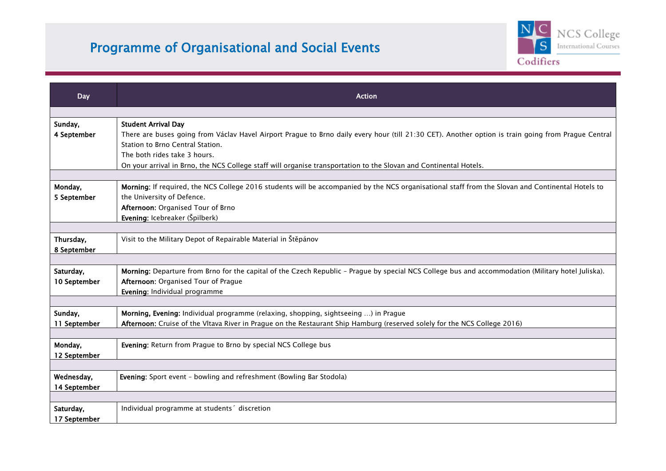## Programme of Organisational and Social Events



| <b>Day</b>                | <b>Action</b>                                                                                                                                       |
|---------------------------|-----------------------------------------------------------------------------------------------------------------------------------------------------|
|                           |                                                                                                                                                     |
| Sunday,                   | <b>Student Arrival Day</b>                                                                                                                          |
| 4 September               | There are buses going from Václav Havel Airport Prague to Brno daily every hour (till 21:30 CET). Another option is train going from Prague Central |
|                           | Station to Brno Central Station.                                                                                                                    |
|                           | The both rides take 3 hours.                                                                                                                        |
|                           | On your arrival in Brno, the NCS College staff will organise transportation to the Slovan and Continental Hotels.                                   |
|                           |                                                                                                                                                     |
| Monday,                   | Morning: If required, the NCS College 2016 students will be accompanied by the NCS organisational staff from the Slovan and Continental Hotels to   |
| 5 September               | the University of Defence.                                                                                                                          |
|                           | Afternoon: Organised Tour of Brno                                                                                                                   |
|                           | Evening: Icebreaker (Špilberk)                                                                                                                      |
| Thursday,                 | Visit to the Military Depot of Repairable Material in Štěpánov                                                                                      |
| 8 September               |                                                                                                                                                     |
|                           |                                                                                                                                                     |
| Saturday,                 | Morning: Departure from Brno for the capital of the Czech Republic - Prague by special NCS College bus and accommodation (Military hotel Juliska).  |
| 10 September              | Afternoon: Organised Tour of Prague                                                                                                                 |
|                           | Evening: Individual programme                                                                                                                       |
|                           |                                                                                                                                                     |
| Sunday,                   | Morning, Evening: Individual programme (relaxing, shopping, sightseeing ) in Prague                                                                 |
| 11 September              | Afternoon: Cruise of the Vltava River in Prague on the Restaurant Ship Hamburg (reserved solely for the NCS College 2016)                           |
|                           |                                                                                                                                                     |
| Monday,                   | Evening: Return from Prague to Brno by special NCS College bus                                                                                      |
| 12 September              |                                                                                                                                                     |
|                           |                                                                                                                                                     |
| Wednesday,                | Evening: Sport event - bowling and refreshment (Bowling Bar Stodola)                                                                                |
| 14 September              |                                                                                                                                                     |
|                           |                                                                                                                                                     |
| Saturday,<br>17 September | Individual programme at students' discretion                                                                                                        |
|                           |                                                                                                                                                     |